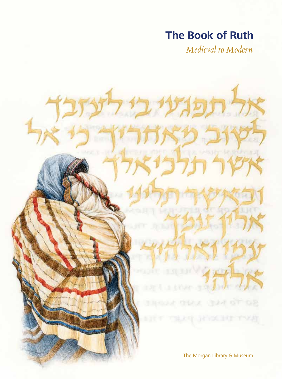# **The Book of Ruth**

*Medieval to Modern*

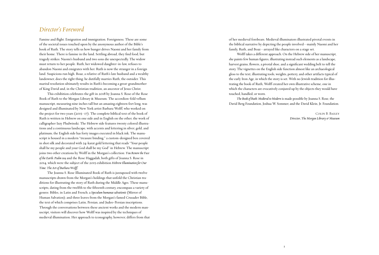### *Director's Foreword*

Famine and flight. Emigration and immigration. Foreignness. These are some of the societal issues touched upon by the anonymous author of the Bible's book of Ruth. The story tells us how hunger drives Naomi and her family from their home. There is famine in the land. Settling abroad, they find food, but tragedy strikes: Naomi's husband and two sons die unexpectedly. The widow must return to her people. Ruth, her widowed daughter-in-law, refuses to abandon Naomi and emigrates with her. Ruth is now the stranger in a foreign land. Suspicions run high. Boaz, a relative of Ruth's late husband and a wealthy landowner, does the right thing: he dutifully marries Ruth, the outsider. This marital resolution ultimately results in Ruth's becoming a great-grandmother of King David and, in the Christian tradition, an ancestor of Jesus Christ.

This exhibition celebrates the gift in 2018 by Joanna S. Rose of the Rose Book of Ruth to the Morgan Library & Museum. The accordion-fold vellum manuscript, measuring nine inches tall but an amazing eighteen feet long, was designed and illuminated by New York artist Barbara Wolff, who worked on the project for two years (2015–17). The complete biblical text of the book of Ruth is written in Hebrew on one side and in English on the other, the work of calligrapher Izzy Pludwinski. The Hebrew side features twenty colored illustrations and a continuous landscape, with accents and lettering in silver, gold, and platinum; the English side has forty images executed in black ink. The manuscript is housed in a modern "treasure binding," a custom-designed box covered in shot silk and decorated with 24-karat gold lettering that reads "Your people shall be my people and your God shall be my God" in Hebrew. The manuscript joins two other creations by Wolff in the Morgan's collection: *You Renew the Face of the Earth: Psalm 104* and the Rose Haggadah, both gifts of Joanna S. Rose in 2014, which were the subject of the 2015 exhibition *Hebrew Illumination for Our Time: The Art of Barbara Wolff*.

The Joanna S. Rose Illuminated Book of Ruth is juxtaposed with twelve manuscripts drawn from the Morgan's holdings that unfold the Christian traditions for illustrating the story of Ruth during the Middle Ages. These manuscripts, dating from the twelfth to the fifteenth century, encompass a variety of genres: Bibles, in Latin and French; a *Speculum humanae salvationis* (Mirror of Human Salvation); and three leaves from the Morgan's famed Crusader Bible, the text of which comprises Latin, Persian, and Judeo-Persian inscriptions. Through the conversations between these ancient works and the modern manuscript, visitors will discover how Wolff was inspired by the techniques of medieval illumination. Her approach to iconography, however, differs from that of her medieval forebears. Medieval illuminators illustrated pivotal events in the biblical narrative by depicting the people involved—mainly Naomi and her family, Ruth, and Boaz—arrayed like characters on a stage set.

Wolff takes a different approach. On the Hebrew side of her manuscript, she paints few human figures, illustrating instead such elements as a landscape, harvest grains, flowers, a pivotal shoe, and a significant wedding belt to tell the story. The vignettes on the English side function almost like an archaeological gloss to the text, illustrating tools, weights, pottery, and other artifacts typical of the early Iron Age, in which the story is set. With no Jewish tradition for illustrating the book of Ruth, Wolff created her own illustrative scheme, one in which the characters are evocatively conjured up by the objects they would have touched, handled, or worn.

*The Book of Ruth: Medieval to Modern* is made possible by Joanna S. Rose, the David Berg Foundation, Joshua W. Sommer, and the David Klein, Jr. Foundation.

Colin B. Bailey *Director, The Morgan Library & Museum*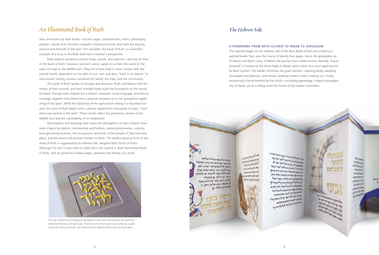# *An Illuminated Book of Ruth*

Jews are known by their books—ancient sagas, collected laws, ethics, philosophy, prayers—words that chronicle a people's historical journey and mark the passing seasons and festivals of the year. This narrative, the book of Ruth, is a beautiful example of a story in the Bible told from a woman's perspective.

Most biblical narratives concern kings, priests, and warriors—the lives of men. In the book of Ruth, however, women's voices speak to us from the world of the early Iron Age in the Middle East. They tell of lives lived in close contact with the natural world, dependent on the gifts of sun, rain, and dew, "each in its season." In that ancient setting, women sustained the family, the tribe, and the community.

The book of Ruth speaks of courage and devotion. Ruth and Naomi craft the means of their survival, and their strength helps build the foundation of the House of David. Though each chapter has a distinct character, visual language, and ethical message, together they blend into a pastoral narrative set in the springtime ingathering of the grain. While the backdrop of the agricultural setting is a bountiful harvest, the story of Ruth begins with a phrase repeated for thousands of years: "And there was famine in the land." These words reflect the precarious climate of the Middle East and the vulnerability of its inhabitants.

Illuminations and drawings that evoke the atmosphere of each chapter have been shaped by rabbinic commentary and folklore, natural phenomena, customs and agricultural practice, the occupations and tools of the people of that time and place, and the plants and animals familiar to them. The earliest physical form of the book of Ruth is suggested by its Hebrew title, *Megillat Ruth* (Scroll of Ruth). Although the text is now read in codex form, the Joanna S. Rose Illuminated Book of Ruth, with its joined but folded pages, preserves the feeling of a scroll.



The silk-covered box binding was designed to allow the manuscript to be read from either the Hebrew or English side. The text on the front cover was crafted by master silversmith Joshua Marrow, who fashioned the Hebrew letters from 24-karat gold.

### *The Hebrew Side*

#### A Panorama from Beth-Lechem to Moab to Jerusalem

The colored images on the Hebrew side of the Rose Book of Ruth are united by a painted border that, over the course of twenty-four pages, traces the geographic arc of Naomi and Ruth's story. It follows the journey from a Beth-Lechem (literally, "house of bread") in famine to the fertile fields of Moab, and a return to a once again bountiful Beth-Lechem. The border chronicles the grain harvest—ripening barley, awaiting the reapers and gleaners, and wheat, awaiting harvest under a setting sun. Finally, envisioning a future foretold by the book's concluding genealogy, it depicts Jerusalem, city of David, set on a hilltop amid the forests of the Judean mountains.

הבאה אל ביתך כרחל וכלאה אחר בנו ישתיהם את בית יישרא ועשה חול באפרתה וקרא שם במת לחם. ויחי ביתר כבית פרץ אשר ולדה תפר ליהודה כן הזרט אשרותו יי לך בן הנערה הזאת ויקח בעד את רות ותאו א לאשה ווכא אליה וותן וי לה הריון ותלד בן

an the feature of the the at any were up mannery chain אחי וכזיני מוס ניינא: חים והמי לחסאיבו estas en programa

את לאיינו לאוכרך ככרה געבו היאבה כקורה<br>את לאיינו לאוכרך ככרה געבו היאבה כקורה y bel fell yell be interested by the grand ייקבים ועוד יחפי עבי אם מגרי זראת לואול ואוכר אחין ואלי אובי אואלי ויאלי בעי כיוס קניתן דחיה מיד ועמי והאת רות במאבית איסת הבית יון להיוסיוס הפתעל וחלתו . וואפר הגאל المحاطبة المراسي بمعاصر مساحير وعط بالم bright new helf back a where me בדהל דל הואלה ועל התכורה לקים כל דבר פלו איש ועלי ועין לרעותו ואאת התעורה.<br>הוא איש ועלי ועין לרעותו ואאת התעורה בידה והתר הוא לעירו ואת התעודה<br>בידה והתר הוא לעיר יוני לך ויקלף נעלו. דיום העונים וכל היום עדים אתם דיונים קטיוני את כל איקר לא בית כל

יליקני אליקילור ומקר מורע מקורה<br>איקני אליקילור ומקום קופי ומקור המקורה<br>איקני אליקילור ומקור מקורה ומקורה نم به مواده ایران است به تحدید بازی های<br>به تهدید از ایران است به ایران استفاده بازیگرین به ایران است به تریک برای<br>به تهدید از ایران استفاده به ایران از ایران به ایران לקרה איקברה וייתו מקום בופנים<br>איקבי איקבר וייתי וייתי מידי הכי<br>איקבי איקבר וייתי וייתי מידי הכי<br>איקבי איקבר וייתי מידי מכי  $\begin{split} \mathcal{L}^{(1)}_{\mathcal{M}^{(2)}_{\mathcal{M}^{(1)}}}\mathcal{L}^{(2)}_{\mathcal{M}^{(1)}}\mathcal{L}^{(2)}_{\mathcal{M}^{(1)}}\mathcal{L}^{(2)}_{\mathcal{M}^{(1)}}\mathcal{L}^{(2)}_{\mathcal{M}^{(1)}}\mathcal{L}^{(2)}_{\mathcal{M}^{(1)}}\mathcal{L}^{(2)}_{\mathcal{M}^{(1)}}\mathcal{L}^{(2)}_{\mathcal{M}^{(1)}}\mathcal{L}^{(2)}_{\mathcal{M}^{(1)}}\mathcal{L}^{(2)}_{\mathcal{$ 

**Philadelphia**  $+4440$  $\frac{1}{2} \sum_{i=1}^n \frac{1}{2} \sum_{i=1}^n \frac{1}{2} \sum_{i=1}^n \frac{1}{2} \sum_{i=1}^n \frac{1}{2} \sum_{i=1}^n \frac{1}{2} \sum_{i=1}^n \frac{1}{2} \sum_{i=1}^n \frac{1}{2} \sum_{i=1}^n \frac{1}{2} \sum_{i=1}^n \frac{1}{2} \sum_{i=1}^n \frac{1}{2} \sum_{i=1}^n \frac{1}{2} \sum_{i=1}^n \frac{1}{2} \sum_{i=1}^n \frac{1}{2} \sum_{i=$ **Y COMMERCIAL** the fold or between consystem Herman to **Kingstons WARMANIA**  $a + 1 + 1 = 1$ **WALKHAM**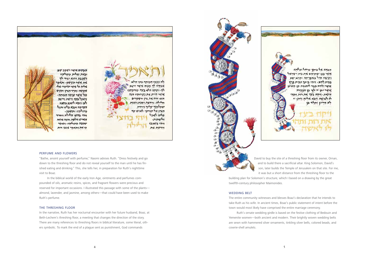

#### Perfume and Flowers

"Bathe, anoint yourself with perfume," Naomi advises Ruth. "Dress festively and go down to the threshing floor and do not reveal yourself to the man until he has finished eating and drinking." This, she tells her, in preparation for Ruth's nighttime visit to Boaz.

In the biblical world of the early Iron Age, ointments and perfumes compounded of oils, aromatic resins, spices, and fragrant flowers were precious and reserved for important occasions. I illustrated this passage with some of the plants almond, lavender, and jasmine, among others—that could have been used to make Ruth's perfume.

#### The Threshing Floor

In the narrative, Ruth has her nocturnal encounter with her future husband, Boaz, at Beth-Lechem's threshing floor, a meeting that changes the direction of the story. There are many references to threshing floors in biblical literature, some literal, others symbolic. To mark the end of a plague sent as punishment, God commands





David to buy the site of a threshing floor from its owner, Ornan, and to build there a sacrificial altar. King Solomon, David's son, later builds the Temple of Jerusalem on that site. For me, it was but a short distance from the threshing floor to the building plan for Solomon's structure, which I based on a drawing by the great

twelfth-century philosopher Maimonides.

#### Wedding Belt

The entire community witnesses and blesses Boaz's declaration that he intends to take Ruth as his wife. In ancient times, Boaz's public statement of intent before the town would most likely have comprised the entire marriage ceremony.

Ruth's ornate wedding girdle is based on the festive clothing of Bedouin and Yemenite women—both ancient and modern. Their brightly woven wedding belts are sewn with hammered silver ornaments, tinkling silver bells, colored beads, and cowrie-shell amulets.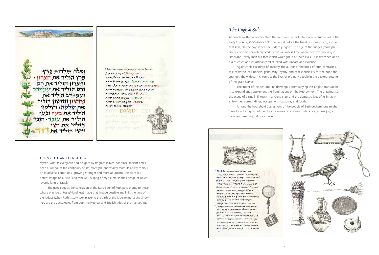

#### The Myrtle and Genealogy

Myrtle, with its evergreen and delightfully fragrant leaves, has since ancient times been a symbol of the continuity of life, strength, and vitality. With its ability to flourish in adverse conditions, growing stronger and more abundant, the plant is a potent image of survival and renewal. A sprig of myrtle marks the lineage of David, revered king of Israel.

The genealogy at the conclusion of the Rose Book of Ruth pays tribute to those whose practice of *hesed* (kindness) made that lineage possible and links the time of the Judges (when Ruth's story took place) to the birth of the Israelite monarchy. Shown here are the genealogies from both the Hebrew and English sides of the manuscript.

## *The English Side*

Although written no earlier than the sixth century BCE, the book of Ruth is set in the early Iron Age, 1200–1000 BCE, the period before the Israelite monarchy or, as the text says, "In the days when the Judges judged*.*" The age of the Judges (more precisely, chieftains or military leaders) was a lawless time when there was no king in Israel and "every man did that which was right in his own eyes." It is described as an era of crises and intratribal conflict, filled with unease and violence.

Against this backdrop of anarchy, the author of the book of Ruth contrasts a tale of *hesed*: of kindness, generosity, loyalty, and of responsibility for the poor, the stranger, the widow. It chronicles the lives of ordinary people in the pastoral setting of the grain harvest.

The intent of the pen-and-ink drawings accompanying this English translation is to expand and supplement the illuminations on the Hebrew text. The drawings set the scene of a small hill town in ancient Israel and the domestic lives of its inhabitants—their surroundings, occupations, customs, and foods.

Among the household possessions of the people of Beth-Lechem, one might have found a highly polished bronze mirror or a bone comb, a lyre, a beer jug, a wooden threshing fork, or a sieve.





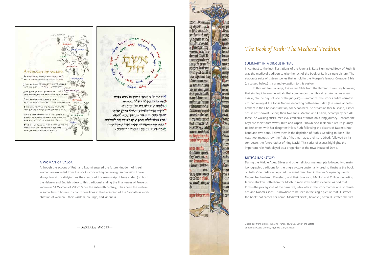

#### A Woman of Valor

Although the actions of Ruth and Naomi ensured the future Kingdom of Israel, women are excluded from the book's concluding genealogy, an omission I have always found unsatisfying. As the creator of this manuscript, I have added (on both the Hebrew and English sides) to this traditional ending the final verses of Proverbs, known as "A Woman of Valor." Since the sixteenth century, it has been the custom in some Jewish homes to chant these lines at the beginning of the Sabbath as a celebration of women—their wisdom, courage, and kindness.

# *The Book of Ruth: The Medieval Tradition*

#### Summary in a Single Initial

In contrast to the lush illustrations of the Joanna S. Rose Illuminated Book of Ruth, it was the medieval tradition to give the text of the book of Ruth a single picture. The elaborate suite of sixteen scenes that unfold in the Morgan's famous Crusader Bible (discussed below) is a grand exception to this custom.

In this leaf from a large, folio-sized Bible from the thirteenth century, however, that single picture—the initial *I* that commences the biblical text (*In diebus unius judicis*, "In the days of one of the judges")—summarizes the story's entire narrative arc. Beginning at the top is Naomi, departing Bethlehem Judah (the name of Beth-Lechem in the Christian tradition) for Moab because of famine (her husband, Elimelech, is not shown). Below, their two sons, Mahlon and Chilion, accompany her. All three use walking sticks, medieval emblems of those on a long journey. Beneath the boys are their future wives, Ruth and Orpah. Shown next is Naomi's return journey to Bethlehem with her daughter-in-law Ruth following the deaths of Naomi's husband and two sons. Below them is the depiction of Ruth's wedding to Boaz. The next two images show the fruit of that marriage: their son, Obed, followed by his son, Jesse, the future father of King David. This series of scenes highlights the important role Ruth played as a progenitor of the royal House of David.

#### Ruth's Backstory

During the Middle Ages, Bibles and other religious manuscripts followed two main iconographic traditions for the single picture customarily used to illustrate the book of Ruth. One tradition depicted the event described in the text's opening words: Naomi, her husband, Elimelech, and their two sons, Mahlon and Chilion, departing famine-stricken Bethlehem for Moab. It may strike today's viewers as odd that Ruth—the protagonist of the narrative, who later in the story marries one of Elimelech and Naomi's sons—is nowhere to be seen in the single picture that illustrates the book that carries her name. Medieval artists, however, often illustrated the first

—Barbara Wolff—

roiem beniann. a: duxannt. le nfplo annifa mitonalë urb mm plagam tucq nde: nunaun:'wad **IE** tio 1. Directritur nom rennt. lære lan lon a derraf finaf fø leem more predere. moal tapın er et fin mom **REALLY THE THERM** 1111: 0 ttur pref caru a acceu ievi ceixithte ann una llan 160001111111 0022 m bellancum amty nu accunie **CCT 4P1** ure percarii est. et of n.urshuunt le fur mium (num uun e ductum do bind f: di **CHILLICOF HILLOG** annel nebre ce dicat nap ilil ran nand letan haf mrabrruð m car ur i me mm mū annu machur er fophim id: fettco mlle levema **Ruti** mun: aba nurb ques **&** 11001111 111020 caf. iluí comm. c. oc du ne teanndum lum Kan hiamtetile meet cm. is. o quomoco **keto**<sub>1</sub> et woz c.qirai. finf. u nuth muro cum tau **fem HOSH** apır lıbrı<sup>,</sup> ızıtl  $8<sup>9</sup>$ 

Single leaf from a Bible, in Latin; France, ca. 1260. Gift of the Estate of Belle da Costa Greene, 1951; ms m.851.1, detail.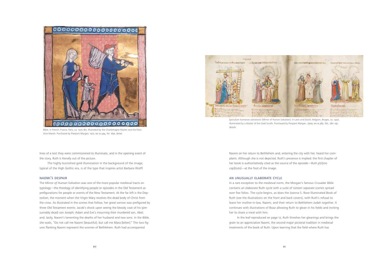lines of a text they were commissioned to illuminate, and in the opening event of the story, Ruth is literally out of the picture.

The highly burnished gold illumination in the background of the image, typical of the High Gothic era, is of the type that inspires artist Barbara Wolff.

#### Naomi's Despair

The *Mirror of Human Salvation* was one of the more popular medieval tracts on typology—the theology of identifying people or episodes in the Old Testament as prefigurations for people or events of the New Testament. At the far left is the Deposition, the moment when the Virgin Mary receives the dead body of Christ from the cross. As illustrated in the scenes that follow, her great sorrow was prefigured by three Old Testament events: Jacob's shock upon seeing the bloody coat of his (presumably dead) son Joseph; Adam and Eve's mourning their murdered son, Abel; and, lastly, Naomi's lamenting the deaths of her husband and two sons. In the Bible, she wails, "Do not call me Naomi [beautiful], but call me Mara [bitter]." The two figures flanking Naomi represent the women of Bethlehem. Ruth had accompanied

Naomi on her return to Bethlehem and, entering the city with her, heard her complaint. Although she is not depicted, Ruth's presence is implied: the first chapter of her book is authoritatively cited as the source of the episode—*Ruth p*[ri]*mo cap*[itulo]—at the foot of the image.

#### An Unusually Elaborate Cycle

In a rare exception to the medieval norm, the Morgan's famous Crusader Bible contains an elaborate Ruth cycle with a suite of sixteen separate scenes spread over five folios. The cycle begins, as does the Joanna S. Rose Illuminated Book of Ruth (see the illustrations on the front and back covers), with Ruth's refusal to leave her mother-in-law, Naomi, and their return to Bethlehem Judah together. It continues with illustrations of Boaz allowing Ruth to glean in his fields and inviting her to share a meal with him.

In the leaf reproduced on page 12, Ruth threshes her gleanings and brings the grain to an appreciative Naomi, the second major pictorial tradition in medieval treatments of the book of Ruth. Upon learning that the field where Ruth has



Bible, in French; France, Paris, ca. 1275–80, illustrated by the Charlemagne Master and the Paris-Acre Master. Purchased by Pierpont Morgan, 1912; ms m.494, fol. 169r, detail.



*Speculum humanae salvationis* (Mirror of Human Salvation), in Latin and Dutch; Belgium, Bruges, ca. 1450, illuminated by a Master of the Gold Scrolls. Purchased by Pierpont Morgan, 1909; ms m.385, fols. 28v–29r, details.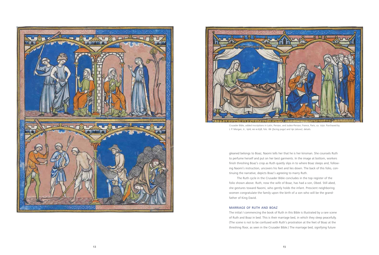gleaned belongs to Boaz, Naomi tells her that he is her kinsman. She counsels Ruth to perfume herself and put on her best garments. In the image at bottom, workers finish threshing Boaz's crop as Ruth quietly slips in to where Boaz sleeps and, following Naomi's instruction, uncovers his feet and lies down. The back of this folio, continuing the narrative, depicts Boaz's agreeing to marry Ruth.

The Ruth cycle in the Crusader Bible concludes in the top register of the folio shown above. Ruth, now the wife of Boaz, has had a son, Obed. Still abed, she gestures toward Naomi, who gently holds the infant. Prescient neighboring women congratulate the family upon the birth of a son who will be the grandfather of King David.

#### Marriage of Ruth and Boaz

The initial *I* commencing the book of Ruth in this Bible is illustrated by a rare scene of Ruth and Boaz in bed. This is their marriage bed, in which they sleep peacefully. (The scene is not to be confused with Ruth's prostration at the feet of Boaz at the threshing floor, as seen in the Crusader Bible.) The marriage bed, signifying future





Crusader Bible, added inscriptions in Latin, Persian, and Judeo-Persian; France, Paris, ca. 1250. Purchased by J. P. Morgan, Jr., 1916; ms m.638, fols. 18r *(facing page)* and 19r *(above)*, details.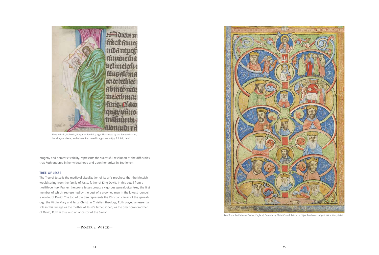progeny and domestic stability, represents the successful resolution of the difficulties that Ruth endured in her widowhood and upon her arrival in Bethlehem.

#### Tree of Jesse

The Tree of Jesse is the medieval visualization of Isaiah's prophecy that the Messiah would spring from the family of Jesse, father of King David. In this detail from a twelfth-century Psalter, the prone Jesse sprouts a vigorous genealogical tree, the first member of which, represented by the bust of a crowned man in the lowest roundel, is no doubt David. The top of the tree represents the Christian climax of the genealogy: the Virgin Mary and Jesus Christ. In Christian theology, Ruth played an essential role in this lineage as the mother of Jesse's father, Obed; as the great-grandmother of David, Ruth is thus also an ancestor of the Savior.

—Roger S. Wieck—



Bible, in Latin; Bohemia, Prague or Raudnitz, 1391, illuminated by the Samson Master, the Morgan Master, and others. Purchased in 1950; ms m.833, fol. 88r, detail.



Leaf from the Eadwine Psalter; England, Canterbury, Christ Church Priory, ca. 1150. Purchased in 1927; ms m.724v, detail.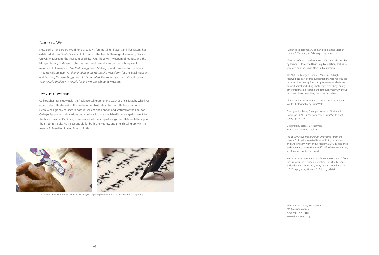#### Barbara Wolff

New York artist Barbara Wolff, one of today's foremost illuminators and illustrators, has exhibited at New York's Society of Illustrators, the Jewish Theological Seminary, Yeshiva University Museum, the Museum of Biblical Art, the Jewish Museum of Prague, and the Morgan Library & Museum. She has produced several films on the techniques of manuscript illumination: *The Prato Haggadah: Making of a Manuscript* for the Jewish Theological Seminary; *An Illumination in the Rothschild Miscellany* for the Israel Museum; and *Creating the Rose Haggadah: An Illuminated Manuscript for the 21st Century* and *Your People Shall Be My People* for the Morgan Library & Museum.

> The Morgan Library & Museum 225 Madison Avenue New York, NY 10016 www.themorgan.org

#### Izzy Pludwinski

Calligrapher Izzy Pludwinski is a freelance calligrapher and teacher of calligraphy who lives in Jerusalem. He studied at the Roehampton Institute in London. He has established Hebrew calligraphy courses in both Jerusalem and London and lectured at the Emunah College Symposium. His various commissions include special-edition Haggadot, work for the Israeli President's Office, a fine edition of the Song of Songs, and Hebrew lettering for the St. John's Bible. He is responsible for both the Hebrew and English calligraphy in the Joanna S. Rose Illuminated Book of Ruth.

Photography: Janny Chiu, pp. 10-11, 14; Graham S. Haber, pp. 9, 12–13, 15, back cover; Rudi Wolff, front cover, pp. 2–8, 16.



Still frames from *Your People Shall Be My People*: applying silver leaf and writing Hebrew calligraphy.

Published to accompany an exhibition at the Morgan Library & Museum, 14 February to 14 June 2020.

*The Book of Ruth: Medieval to Modern* is made possible by Joanna S. Rose, the David Berg Foundation, Joshua W. Sommer, and the David Klein, Jr. Foundation.

© 2020 The Morgan Library & Museum. All rights reserved. No part of this publication may be reproduced or transmitted in any form or by any means, electronic or mechanical, including photocopy, recording, or any other information storage and retrieval system, without prior permission in writing from the publisher.

All text and artwork by Barbara Wolff © 2020 Barbara Wolff. Photography by Rudi Wolff.

Designed by Bessas & Ackerman Printed by Tangent Graphics

Front cover: *Naomi and Ruth Embracing*, from the Joanna S. Rose Illuminated Book of Ruth, in Hebrew and English; New York and Jerusalem, 2015–17, designed and illuminated by Barbara Wolff. Gift of Joanna S. Rose, 2018; ms m.1210, fol. 7r, detail.

Back cover: *Orpah Demurs While Ruth Joins Naomi*, from the Crusader Bible, added inscriptions in Latin, Persian, and Judeo-Persian; France, Paris, ca. 1250. Purchased by J. P. Morgan, Jr., 1916; ms m.638, fol. 17r, detail.